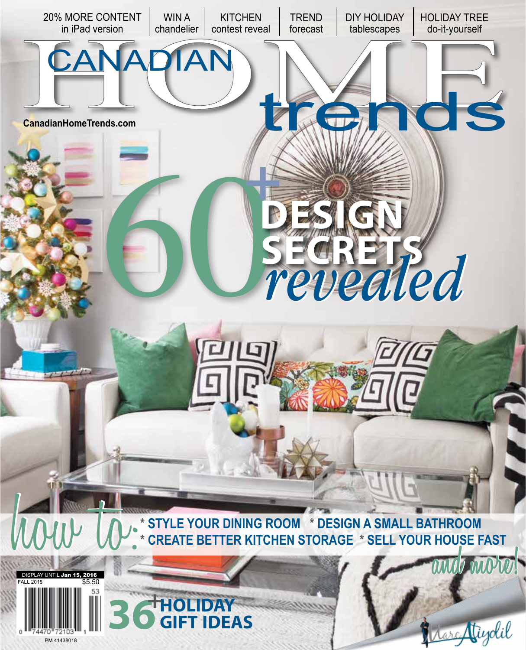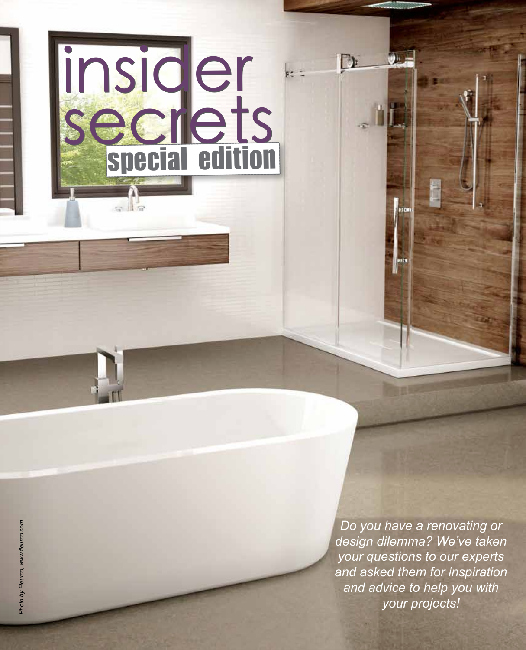

 $D$ 

ke z

⊎, n

93 CM

insider

insider

secrets

secrets

 $\sim$   $\sqrt{2}$ 

special edition